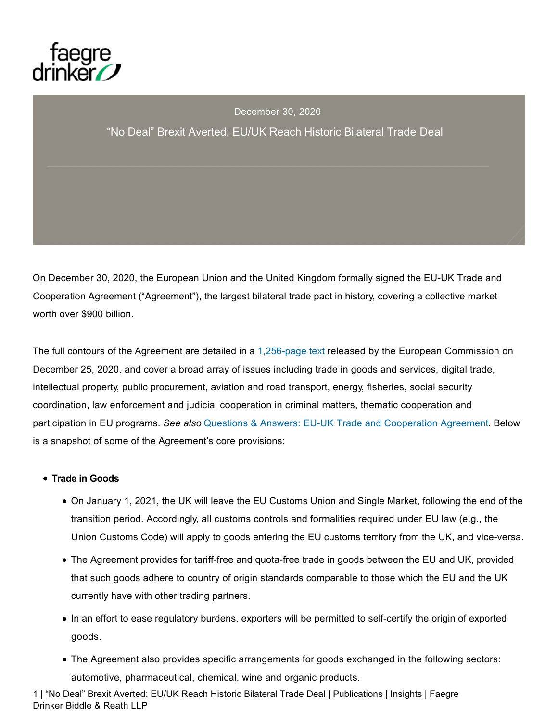

### December 30, 2020

### "No Deal" Brexit Averted: EU/UK Reach Historic Bilateral Trade Deal

On December 30, 2020, the European Union and the United Kingdom formally signed the EU-UK Trade and Cooperation Agreement ("Agreement"), the largest bilateral trade pact in history, covering a collective market worth over \$900 billion.

The full contours of the Agreement are detailed in a 1,256-page text released by the European Commission on December 25, 2020, and cover a broad array of issues including trade in goods and services, digital trade, intellectual property, public procurement, aviation and road transport, energy, fisheries, social security coordination, law enforcement and judicial cooperation in criminal matters, thematic cooperation and participation in EU programs. *See also* Questions & Answers: EU-UK Trade and Cooperation Agreement. Below is a snapshot of some of the Agreement's core provisions:

#### **Trade in Goods**

- On January 1, 2021, the UK will leave the EU Customs Union and Single Market, following the end of the transition period. Accordingly, all customs controls and formalities required under EU law (e.g., the Union Customs Code) will apply to goods entering the EU customs territory from the UK, and vice-versa.
- The Agreement provides for tariff-free and quota-free trade in goods between the EU and UK, provided that such goods adhere to country of origin standards comparable to those which the EU and the UK currently have with other trading partners.
- In an effort to ease regulatory burdens, exporters will be permitted to self-certify the origin of exported goods.
- The Agreement also provides specific arrangements for goods exchanged in the following sectors: automotive, pharmaceutical, chemical, wine and organic products.

1 | "No Deal" Brexit Averted: EU/UK Reach Historic Bilateral Trade Deal | Publications | Insights | Faegre Drinker Biddle & Reath LLP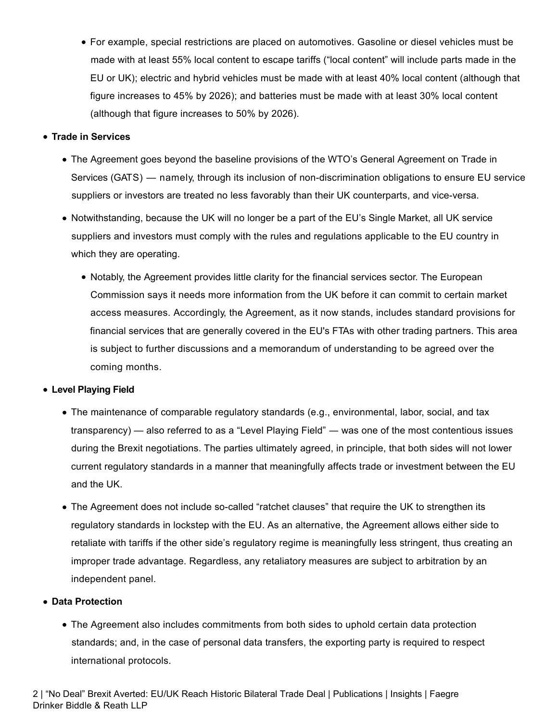For example, special restrictions are placed on automotives. Gasoline or diesel vehicles must be made with at least 55% local content to escape tariffs ("local content" will include parts made in the EU or UK); electric and hybrid vehicles must be made with at least 40% local content (although that figure increases to 45% by 2026); and batteries must be made with at least 30% local content (although that figure increases to 50% by 2026).

### **Trade in Services**

- The Agreement goes beyond the baseline provisions of the WTO's General Agreement on Trade in Services (GATS) — namely, through its inclusion of non-discrimination obligations to ensure EU service suppliers or investors are treated no less favorably than their UK counterparts, and vice-versa.
- Notwithstanding, because the UK will no longer be a part of the EU's Single Market, all UK service suppliers and investors must comply with the rules and regulations applicable to the EU country in which they are operating.
	- Notably, the Agreement provides little clarity for the financial services sector. The European Commission says it needs more information from the UK before it can commit to certain market access measures. Accordingly, the Agreement, as it now stands, includes standard provisions for financial services that are generally covered in the EU's FTAs with other trading partners. This area is subject to further discussions and a memorandum of understanding to be agreed over the coming months.

### **Level Playing Field**

- The maintenance of comparable regulatory standards (e.g., environmental, labor, social, and tax transparency) — also referred to as a "Level Playing Field" ― was one of the most contentious issues during the Brexit negotiations. The parties ultimately agreed, in principle, that both sides will not lower current regulatory standards in a manner that meaningfully affects trade or investment between the EU and the UK.
- The Agreement does not include so-called "ratchet clauses" that require the UK to strengthen its regulatory standards in lockstep with the EU. As an alternative, the Agreement allows either side to retaliate with tariffs if the other side's regulatory regime is meaningfully less stringent, thus creating an improper trade advantage. Regardless, any retaliatory measures are subject to arbitration by an independent panel.

### **Data Protection**

• The Agreement also includes commitments from both sides to uphold certain data protection standards; and, in the case of personal data transfers, the exporting party is required to respect international protocols.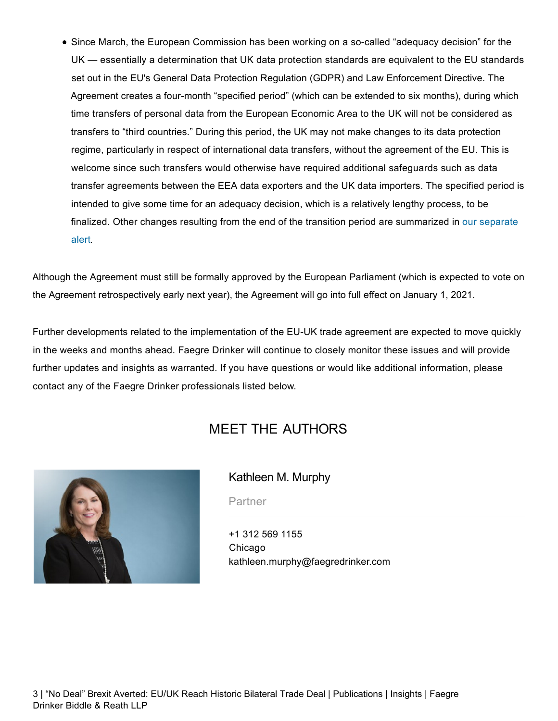Since March, the European Commission has been working on a so-called "adequacy decision" for the UK — essentially a determination that UK data protection standards are equivalent to the EU standards set out in the EU's General Data Protection Regulation (GDPR) and Law Enforcement Directive. The Agreement creates a four-month "specified period" (which can be extended to six months), during which time transfers of personal data from the European Economic Area to the UK will not be considered as transfers to "third countries." During this period, the UK may not make changes to its data protection regime, particularly in respect of international data transfers, without the agreement of the EU. This is welcome since such transfers would otherwise have required additional safeguards such as data transfer agreements between the EEA data exporters and the UK data importers. The specified period is intended to give some time for an adequacy decision, which is a relatively lengthy process, to be finalized. Other changes resulting from the end of the transition period are summarized in our separate alert.

Although the Agreement must still be formally approved by the European Parliament (which is expected to vote on the Agreement retrospectively early next year), the Agreement will go into full effect on January 1, 2021.

Further developments related to the implementation of the EU-UK trade agreement are expected to move quickly in the weeks and months ahead. Faegre Drinker will continue to closely monitor these issues and will provide further updates and insights as warranted. If you have questions or would like additional information, please contact any of the Faegre Drinker professionals listed below.

# MEET THE AUTHORS



## Kathleen M. Murphy

**Partner** 

+1 312 569 1155 Chicago kathleen.murphy@faegredrinker.com